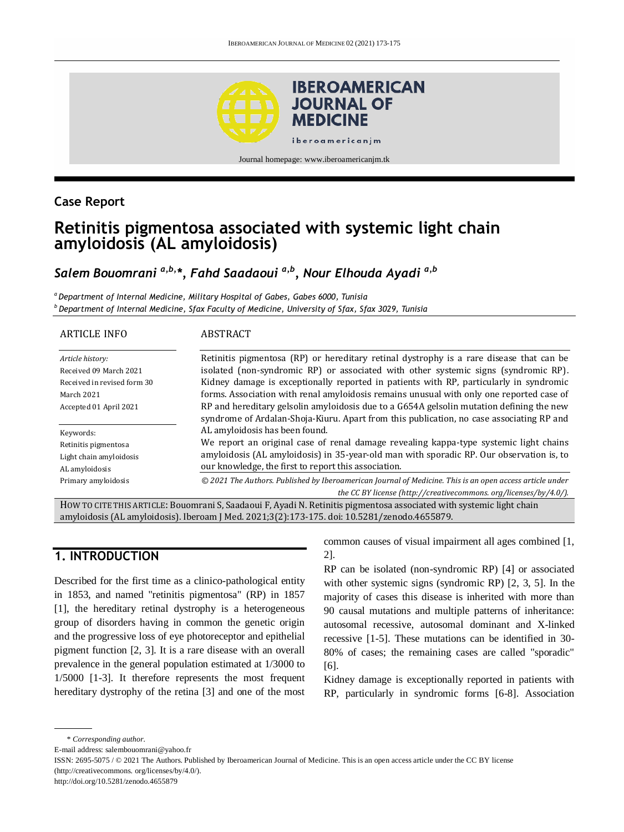

## **Case Report**

# **Retinitis pigmentosa associated with systemic light chain amyloidosis (AL amyloidosis)**

# *Salem Bouomrani a,b,\*, Fahd Saadaoui a,b, Nour Elhouda Ayadi a,b*

*<sup>a</sup> Department of Internal Medicine, Military Hospital of Gabes, Gabes 6000, Tunisia <sup>b</sup>Department of Internal Medicine, Sfax Faculty of Medicine, University of Sfax, Sfax 3029, Tunisia*

| <b>ARTICLE INFO</b>                                                                     | ABSTRACT                                                                                                                                                                                                                                                                                                                                                             |
|-----------------------------------------------------------------------------------------|----------------------------------------------------------------------------------------------------------------------------------------------------------------------------------------------------------------------------------------------------------------------------------------------------------------------------------------------------------------------|
| Article history:<br>Received 09 March 2021<br>Received in revised form 30<br>March 2021 | Retinitis pigmentosa (RP) or hereditary retinal dystrophy is a rare disease that can be<br>isolated (non-syndromic RP) or associated with other systemic signs (syndromic RP).<br>Kidney damage is exceptionally reported in patients with RP, particularly in syndromic<br>forms. Association with renal amyloidosis remains unusual with only one reported case of |
| Accepted 01 April 2021                                                                  | RP and hereditary gelsolin amyloidosis due to a G654A gelsolin mutation defining the new<br>syndrome of Ardalan-Shoja-Kiuru. Apart from this publication, no case associating RP and<br>AL amyloidosis has been found.                                                                                                                                               |
| Keywords:<br>Retinitis pigmentosa<br>Light chain amyloidosis<br>AL amyloidosis          | We report an original case of renal damage revealing kappa-type systemic light chains<br>amyloidosis (AL amyloidosis) in 35-year-old man with sporadic RP. Our observation is, to<br>our knowledge, the first to report this association.                                                                                                                            |
| Primary amyloidosis                                                                     | © 2021 The Authors. Published by Iberoamerican Journal of Medicine. This is an open access article under<br>the CC BY license (http://creativecommons.org/licenses/by/4.0/).                                                                                                                                                                                         |

HOW TO CITE THIS ARTICLE: Bouomrani S, Saadaoui F, Ayadi N. Retinitis pigmentosa associated with systemic light chain amyloidosis (AL amyloidosis). Iberoam J Med. 2021;3(2):173-175. doi[: 10.5281/zenodo.4655879.](http://doi.org/10.5281/zenodo.4655879)

# **1. INTRODUCTION**

Described for the first time as a clinico-pathological entity in 1853, and named "retinitis pigmentosa" (RP) in 1857 [1], the hereditary retinal dystrophy is a heterogeneous group of disorders having in common the genetic origin and the progressive loss of eye photoreceptor and epithelial pigment function [2, 3]. It is a rare disease with an overall prevalence in the general population estimated at 1/3000 to 1/5000 [1-3]. It therefore represents the most frequent hereditary dystrophy of the retina [3] and one of the most common causes of visual impairment all ages combined [1, 2].

RP can be isolated (non-syndromic RP) [4] or associated with other systemic signs (syndromic RP) [2, 3, 5]. In the majority of cases this disease is inherited with more than 90 causal mutations and multiple patterns of inheritance: autosomal recessive, autosomal dominant and X-linked recessive [1-5]. These mutations can be identified in 30- 80% of cases; the remaining cases are called "sporadic" [6].

Kidney damage is exceptionally reported in patients with RP, particularly in syndromic forms [6-8]. Association

<sup>\*</sup> *Corresponding author.*

E-mail address: salembouomrani@yahoo.fr

ISSN: 2695-5075 / © 2021 The Authors. Published by Iberoamerican Journal of Medicine. This is an open access article under the CC BY license (http://creativecommons. org/licenses/by/4.0/).

http://doi.org/10.5281/zenodo.4655879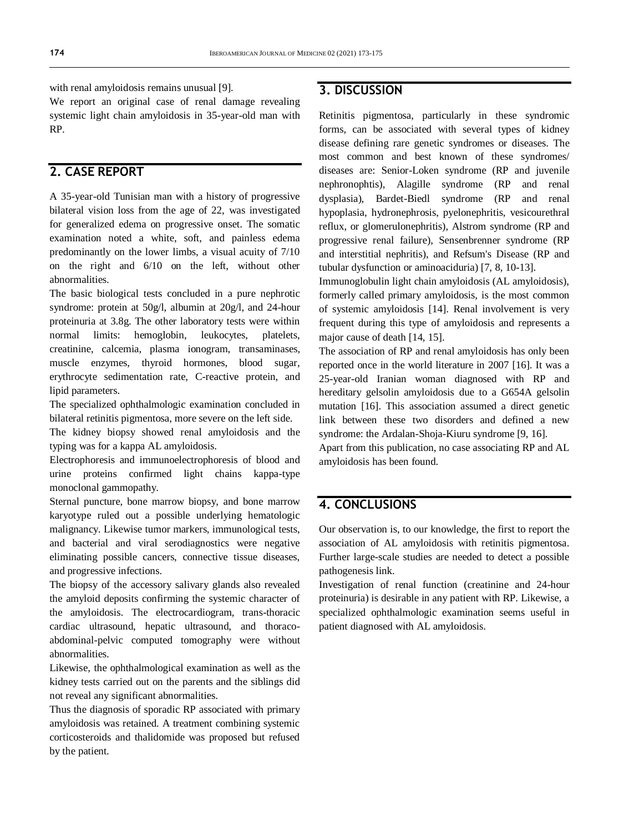with renal amyloidosis remains unusual [9].

We report an original case of renal damage revealing systemic light chain amyloidosis in 35-year-old man with RP.

# **2. CASE REPORT**

A 35-year-old Tunisian man with a history of progressive bilateral vision loss from the age of 22, was investigated for generalized edema on progressive onset. The somatic examination noted a white, soft, and painless edema predominantly on the lower limbs, a visual acuity of 7/10 on the right and 6/10 on the left, without other abnormalities.

The basic biological tests concluded in a pure nephrotic syndrome: protein at 50g/l, albumin at 20g/l, and 24-hour proteinuria at 3.8g. The other laboratory tests were within normal limits: hemoglobin, leukocytes, platelets, creatinine, calcemia, plasma ionogram, transaminases, muscle enzymes, thyroid hormones, blood sugar, erythrocyte sedimentation rate, C-reactive protein, and lipid parameters.

The specialized ophthalmologic examination concluded in bilateral retinitis pigmentosa, more severe on the left side.

The kidney biopsy showed renal amyloidosis and the typing was for a kappa AL amyloidosis.

Electrophoresis and immunoelectrophoresis of blood and urine proteins confirmed light chains kappa-type monoclonal gammopathy.

Sternal puncture, bone marrow biopsy, and bone marrow karyotype ruled out a possible underlying hematologic malignancy. Likewise tumor markers, immunological tests, and bacterial and viral serodiagnostics were negative eliminating possible cancers, connective tissue diseases, and progressive infections.

The biopsy of the accessory salivary glands also revealed the amyloid deposits confirming the systemic character of the amyloidosis. The electrocardiogram, trans-thoracic cardiac ultrasound, hepatic ultrasound, and thoracoabdominal-pelvic computed tomography were without abnormalities.

Likewise, the ophthalmological examination as well as the kidney tests carried out on the parents and the siblings did not reveal any significant abnormalities.

Thus the diagnosis of sporadic RP associated with primary amyloidosis was retained. A treatment combining systemic corticosteroids and thalidomide was proposed but refused by the patient.

### **3. DISCUSSION**

Retinitis pigmentosa, particularly in these syndromic forms, can be associated with several types of kidney disease defining rare genetic syndromes or diseases. The most common and best known of these syndromes/ diseases are: Senior-Loken syndrome (RP and juvenile nephronophtis), Alagille syndrome (RP and renal dysplasia), Bardet-Biedl syndrome (RP and renal hypoplasia, hydronephrosis, pyelonephritis, vesicourethral reflux, or glomerulonephritis), Alstrom syndrome (RP and progressive renal failure), Sensenbrenner syndrome (RP and interstitial nephritis), and Refsum's Disease (RP and tubular dysfunction or aminoaciduria) [7, 8, 10-13].

Immunoglobulin light chain amyloidosis (AL amyloidosis), formerly called primary amyloidosis, is the most common of systemic amyloidosis [14]. Renal involvement is very frequent during this type of amyloidosis and represents a major cause of death [14, 15].

The association of RP and renal amyloidosis has only been reported once in the world literature in 2007 [16]. It was a 25-year-old Iranian woman diagnosed with RP and hereditary gelsolin amyloidosis due to a G654A gelsolin mutation [16]. This association assumed a direct genetic link between these two disorders and defined a new syndrome: the Ardalan-Shoja-Kiuru syndrome [9, 16].

Apart from this publication, no case associating RP and AL amyloidosis has been found.

#### **4. CONCLUSIONS**

Our observation is, to our knowledge, the first to report the association of AL amyloidosis with retinitis pigmentosa. Further large-scale studies are needed to detect a possible pathogenesis link.

Investigation of renal function (creatinine and 24-hour proteinuria) is desirable in any patient with RP. Likewise, a specialized ophthalmologic examination seems useful in patient diagnosed with AL amyloidosis.